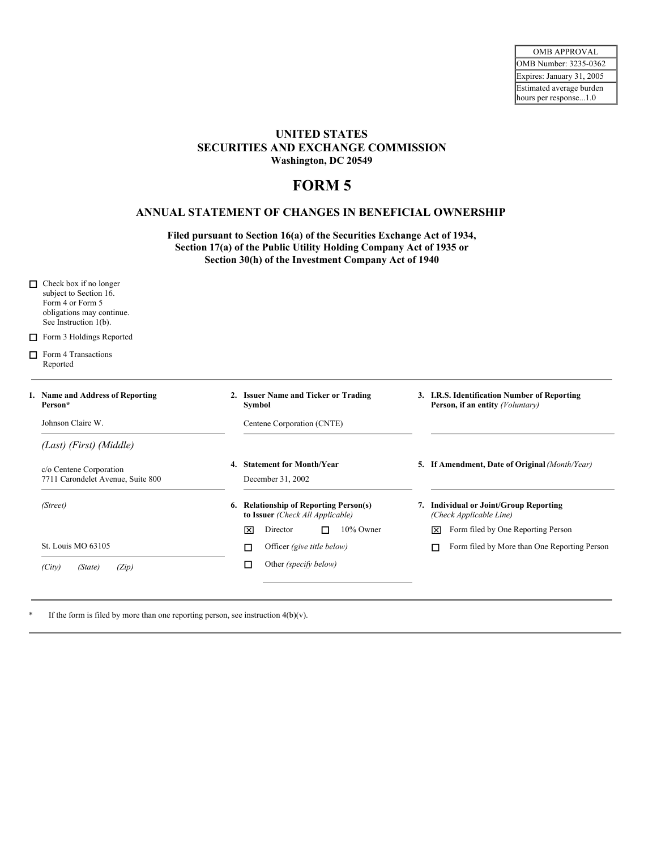## **UNITED STATES SECURITIES AND EXCHANGE COMMISSION Washington, DC 20549**

## **FORM 5**

## **ANNUAL STATEMENT OF CHANGES IN BENEFICIAL OWNERSHIP**

**Filed pursuant to Section 16(a) of the Securities Exchange Act of 1934, Section 17(a) of the Public Utility Holding Company Act of 1935 or Section 30(h) of the Investment Company Act of 1940**

| п | Check box if no longer<br>subject to Section 16.<br>Form 4 or Form 5<br>obligations may continue.<br>See Instruction 1(b). |                                                                            |                                                                                  |
|---|----------------------------------------------------------------------------------------------------------------------------|----------------------------------------------------------------------------|----------------------------------------------------------------------------------|
| □ | Form 3 Holdings Reported                                                                                                   |                                                                            |                                                                                  |
| п | Form 4 Transactions<br>Reported                                                                                            |                                                                            |                                                                                  |
|   | 1. Name and Address of Reporting<br>Person*                                                                                | 2. Issuer Name and Ticker or Trading<br>Symbol                             | 3. I.R.S. Identification Number of Reporting<br>Person, if an entity (Voluntary) |
|   | Johnson Claire W.                                                                                                          | Centene Corporation (CNTE)                                                 |                                                                                  |
|   | (Last) (First) (Middle)                                                                                                    |                                                                            |                                                                                  |
|   | c/o Centene Corporation<br>7711 Carondelet Avenue, Suite 800                                                               | 4. Statement for Month/Year<br>December 31, 2002                           | 5. If Amendment, Date of Original (Month/Year)                                   |
|   | (Street)                                                                                                                   | 6. Relationship of Reporting Person(s)<br>to Issuer (Check All Applicable) | 7. Individual or Joint/Group Reporting<br>(Check Applicable Line)                |
|   |                                                                                                                            | 10% Owner<br>Director<br>冈<br>П                                            | Form filed by One Reporting Person<br>冈                                          |
|   | St. Louis MO 63105                                                                                                         | Officer (give title below)<br>□                                            | Form filed by More than One Reporting Person                                     |
|   | (Zip)<br>(City)<br>(State)                                                                                                 | Other (specify below)<br>□                                                 |                                                                                  |

If the form is filed by more than one reporting person, see instruction  $4(b)(v)$ .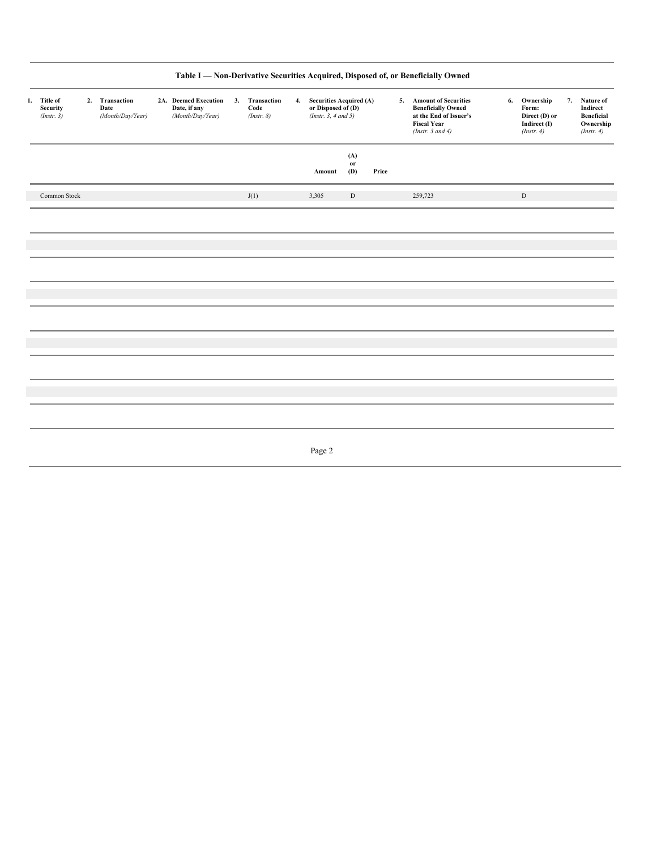|                                              |              |  |                                            |                                                          |                                      |                                                                          |                             |       | Table I - Non-Derivative Securities Acquired, Disposed of, or Beneficially Owned                                              |    |                                                                   |                                        |                         |
|----------------------------------------------|--------------|--|--------------------------------------------|----------------------------------------------------------|--------------------------------------|--------------------------------------------------------------------------|-----------------------------|-------|-------------------------------------------------------------------------------------------------------------------------------|----|-------------------------------------------------------------------|----------------------------------------|-------------------------|
| 1. Title of<br><b>Security</b><br>(Instr. 3) |              |  | 2. Transaction<br>Date<br>(Month/Day/Year) | 2A. Deemed Execution<br>Date, if any<br>(Month/Day/Year) | 3. Transaction<br>Code<br>(Instr. 8) | 4. Securities Acquired (A)<br>or Disposed of (D)<br>(Insert. 3, 4 and 5) |                             |       | 5. Amount of Securities<br><b>Beneficially Owned</b><br>at the End of Issuer's<br><b>Fiscal Year</b><br>(Instr. $3$ and $4$ ) | 6. | Ownership<br>Form:<br>Direct (D) or<br>Indirect (I)<br>(Instr. 4) | 7. Nature of<br>Indirect<br>(Instr. 4) | Beneficial<br>Ownership |
|                                              |              |  |                                            |                                                          |                                      | Amount                                                                   | (A)<br>$\mathbf{or}$<br>(D) | Price |                                                                                                                               |    |                                                                   |                                        |                         |
|                                              | Common Stock |  |                                            |                                                          | J(1)                                 | 3,305                                                                    | $\mathbf D$                 |       | 259,723                                                                                                                       |    | $\mathbf D$                                                       |                                        |                         |
|                                              |              |  |                                            |                                                          |                                      |                                                                          |                             |       |                                                                                                                               |    |                                                                   |                                        |                         |
|                                              |              |  |                                            |                                                          |                                      |                                                                          |                             |       |                                                                                                                               |    |                                                                   |                                        |                         |
|                                              |              |  |                                            |                                                          |                                      |                                                                          |                             |       |                                                                                                                               |    |                                                                   |                                        |                         |
|                                              |              |  |                                            |                                                          |                                      |                                                                          |                             |       |                                                                                                                               |    |                                                                   |                                        |                         |
|                                              |              |  |                                            |                                                          |                                      |                                                                          |                             |       |                                                                                                                               |    |                                                                   |                                        |                         |
|                                              |              |  |                                            |                                                          |                                      |                                                                          |                             |       |                                                                                                                               |    |                                                                   |                                        |                         |
|                                              |              |  |                                            |                                                          |                                      |                                                                          |                             |       |                                                                                                                               |    |                                                                   |                                        |                         |
|                                              |              |  |                                            |                                                          |                                      |                                                                          |                             |       |                                                                                                                               |    |                                                                   |                                        |                         |
|                                              |              |  |                                            |                                                          |                                      | Page 2                                                                   |                             |       |                                                                                                                               |    |                                                                   |                                        |                         |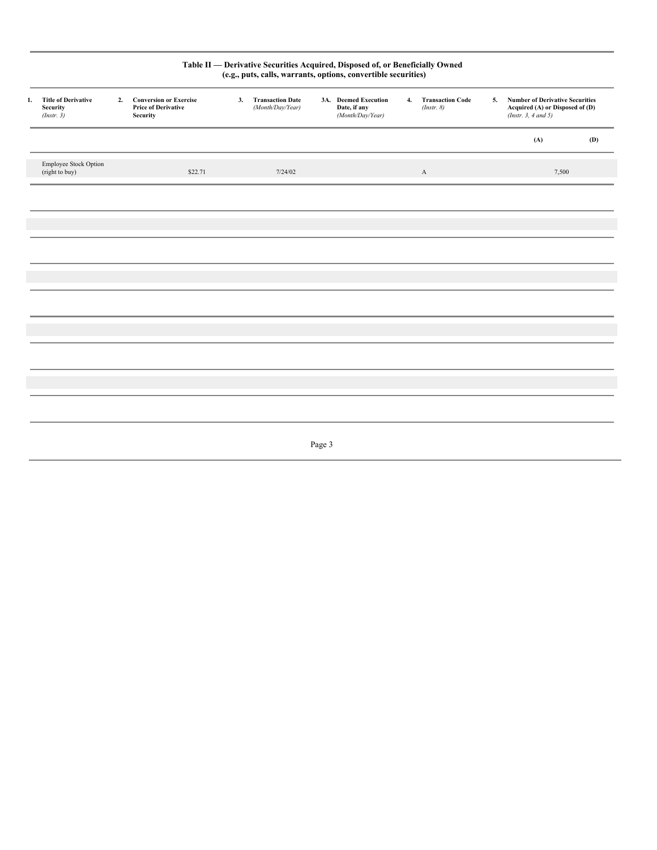| <b>Security</b><br>(Insert. 3)          |                        | <b>Conversion or Exercise</b><br><b>Price of Derivative</b><br><b>Security</b> | 3. | <b>Transaction Date</b><br>(Month/Day/Year) | Date, if any<br>(Month/Day/Year) |                                | (Instr. 8)   |                                                                                                                                                                        | (Insert. 3, 4 and 5) |                                                                                          |
|-----------------------------------------|------------------------|--------------------------------------------------------------------------------|----|---------------------------------------------|----------------------------------|--------------------------------|--------------|------------------------------------------------------------------------------------------------------------------------------------------------------------------------|----------------------|------------------------------------------------------------------------------------------|
|                                         |                        |                                                                                |    |                                             |                                  |                                |              |                                                                                                                                                                        | (A)                  | (D)                                                                                      |
| Employee Stock Option<br>(right to buy) |                        | \$22.71                                                                        |    | 7/24/02                                     |                                  |                                | $\mathbf{A}$ |                                                                                                                                                                        |                      |                                                                                          |
|                                         |                        |                                                                                |    |                                             |                                  |                                |              |                                                                                                                                                                        |                      |                                                                                          |
|                                         |                        |                                                                                |    |                                             |                                  |                                |              |                                                                                                                                                                        |                      |                                                                                          |
|                                         |                        |                                                                                |    |                                             |                                  |                                |              |                                                                                                                                                                        |                      |                                                                                          |
|                                         |                        |                                                                                |    |                                             |                                  |                                |              |                                                                                                                                                                        |                      |                                                                                          |
|                                         |                        |                                                                                |    |                                             |                                  |                                |              |                                                                                                                                                                        |                      |                                                                                          |
|                                         |                        |                                                                                |    |                                             |                                  |                                |              |                                                                                                                                                                        |                      |                                                                                          |
|                                         |                        |                                                                                |    |                                             |                                  |                                |              |                                                                                                                                                                        |                      |                                                                                          |
|                                         |                        |                                                                                |    |                                             |                                  |                                |              |                                                                                                                                                                        |                      |                                                                                          |
|                                         |                        |                                                                                |    |                                             |                                  |                                |              |                                                                                                                                                                        |                      |                                                                                          |
|                                         |                        |                                                                                |    |                                             |                                  |                                |              |                                                                                                                                                                        |                      |                                                                                          |
|                                         | 1. Title of Derivative |                                                                                | 2. |                                             |                                  | 3A. Deemed Execution<br>Page 3 |              | Table II - Derivative Securities Acquired, Disposed of, or Beneficially Owned<br>(e.g., puts, calls, warrants, options, convertible securities)<br>4. Transaction Code |                      | <b>Number of Derivative Securities</b><br>5.<br>Acquired (A) or Disposed of (D)<br>7,500 |